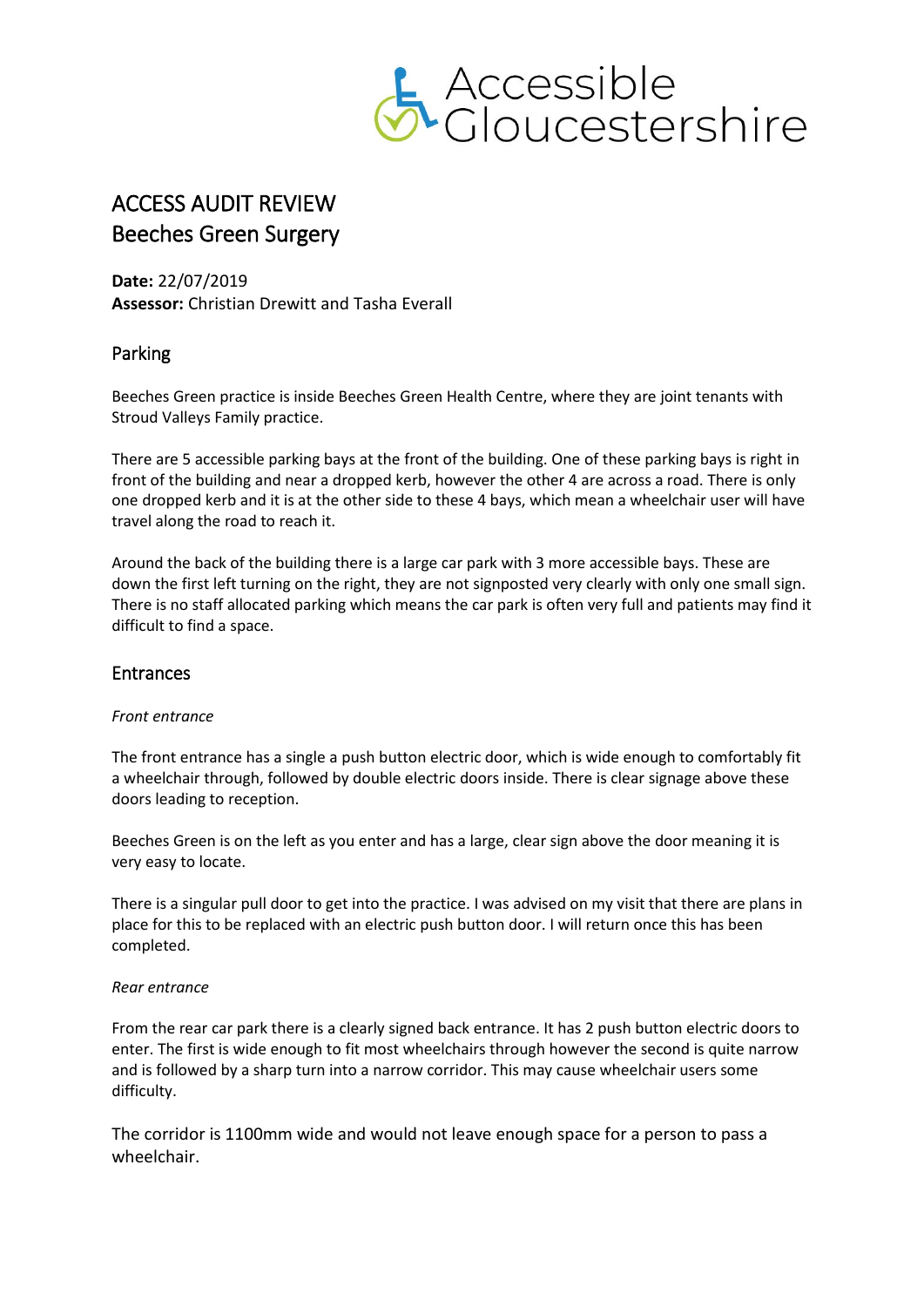

# ACCESS AUDIT REVIEW Beeches Green Surgery

**Date:** 22/07/2019 **Assessor:** Christian Drewitt and Tasha Everall

# Parking

Beeches Green practice is inside Beeches Green Health Centre, where they are joint tenants with Stroud Valleys Family practice.

There are 5 accessible parking bays at the front of the building. One of these parking bays is right in front of the building and near a dropped kerb, however the other 4 are across a road. There is only one dropped kerb and it is at the other side to these 4 bays, which mean a wheelchair user will have travel along the road to reach it.

Around the back of the building there is a large car park with 3 more accessible bays. These are down the first left turning on the right, they are not signposted very clearly with only one small sign. There is no staff allocated parking which means the car park is often very full and patients may find it difficult to find a space.

# Entrances

#### *Front entrance*

The front entrance has a single a push button electric door, which is wide enough to comfortably fit a wheelchair through, followed by double electric doors inside. There is clear signage above these doors leading to reception.

Beeches Green is on the left as you enter and has a large, clear sign above the door meaning it is very easy to locate.

There is a singular pull door to get into the practice. I was advised on my visit that there are plans in place for this to be replaced with an electric push button door. I will return once this has been completed.

#### *Rear entrance*

From the rear car park there is a clearly signed back entrance. It has 2 push button electric doors to enter. The first is wide enough to fit most wheelchairs through however the second is quite narrow and is followed by a sharp turn into a narrow corridor. This may cause wheelchair users some difficulty.

The corridor is 1100mm wide and would not leave enough space for a person to pass a wheelchair.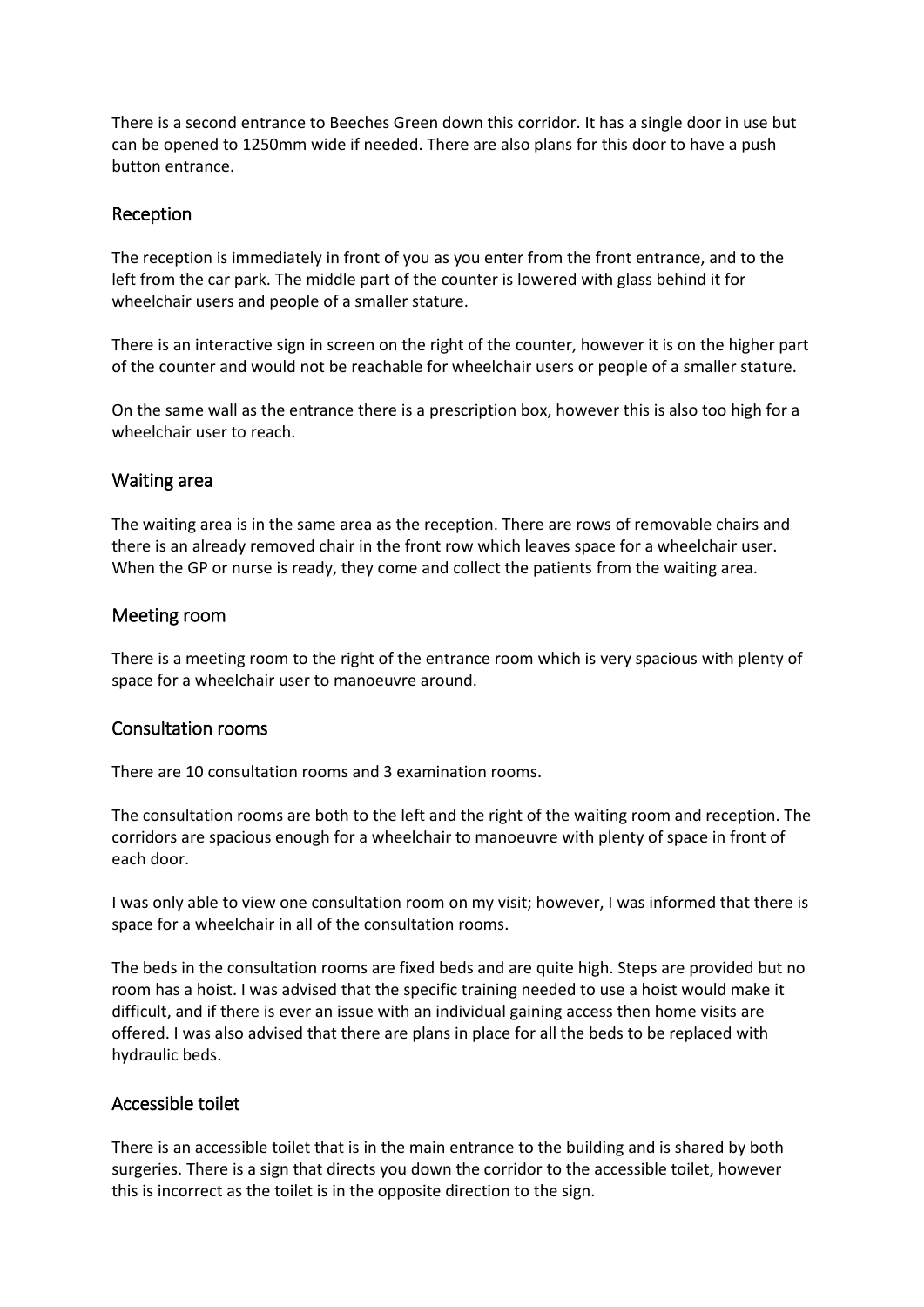There is a second entrance to Beeches Green down this corridor. It has a single door in use but can be opened to 1250mm wide if needed. There are also plans for this door to have a push button entrance.

### Reception

The reception is immediately in front of you as you enter from the front entrance, and to the left from the car park. The middle part of the counter is lowered with glass behind it for wheelchair users and people of a smaller stature.

There is an interactive sign in screen on the right of the counter, however it is on the higher part of the counter and would not be reachable for wheelchair users or people of a smaller stature.

On the same wall as the entrance there is a prescription box, however this is also too high for a wheelchair user to reach.

#### Waiting area

The waiting area is in the same area as the reception. There are rows of removable chairs and there is an already removed chair in the front row which leaves space for a wheelchair user. When the GP or nurse is ready, they come and collect the patients from the waiting area.

#### Meeting room

There is a meeting room to the right of the entrance room which is very spacious with plenty of space for a wheelchair user to manoeuvre around.

#### Consultation rooms

There are 10 consultation rooms and 3 examination rooms.

The consultation rooms are both to the left and the right of the waiting room and reception. The corridors are spacious enough for a wheelchair to manoeuvre with plenty of space in front of each door.

I was only able to view one consultation room on my visit; however, I was informed that there is space for a wheelchair in all of the consultation rooms.

The beds in the consultation rooms are fixed beds and are quite high. Steps are provided but no room has a hoist. I was advised that the specific training needed to use a hoist would make it difficult, and if there is ever an issue with an individual gaining access then home visits are offered. I was also advised that there are plans in place for all the beds to be replaced with hydraulic beds.

# Accessible toilet

There is an accessible toilet that is in the main entrance to the building and is shared by both surgeries. There is a sign that directs you down the corridor to the accessible toilet, however this is incorrect as the toilet is in the opposite direction to the sign.